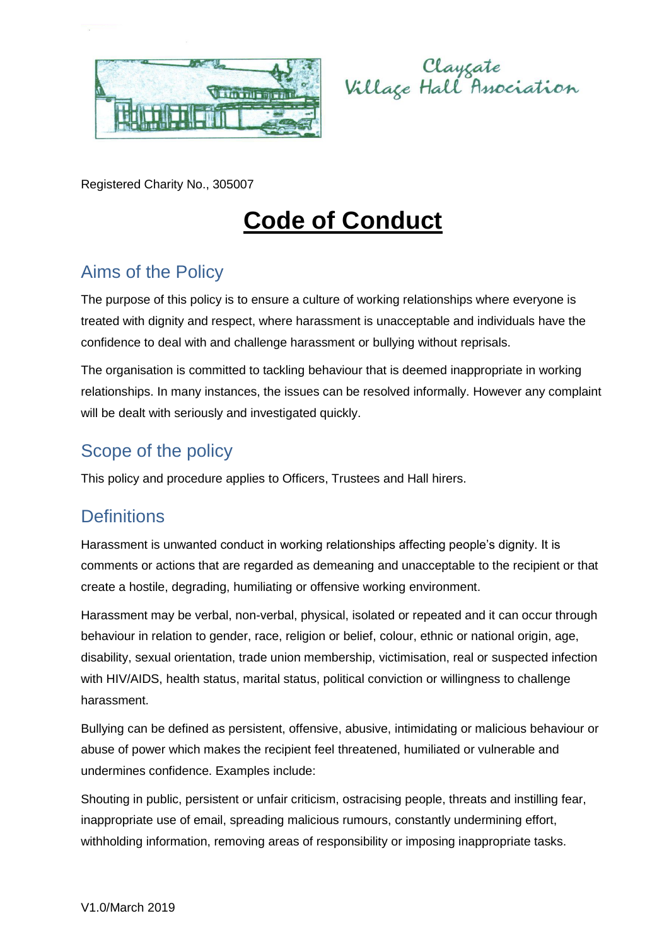



Registered Charity No., 305007

# **Code of Conduct**

## Aims of the Policy

The purpose of this policy is to ensure a culture of working relationships where everyone is treated with dignity and respect, where harassment is unacceptable and individuals have the confidence to deal with and challenge harassment or bullying without reprisals.

The organisation is committed to tackling behaviour that is deemed inappropriate in working relationships. In many instances, the issues can be resolved informally. However any complaint will be dealt with seriously and investigated quickly.

#### Scope of the policy

This policy and procedure applies to Officers, Trustees and Hall hirers.

#### **Definitions**

Harassment is unwanted conduct in working relationships affecting people's dignity. It is comments or actions that are regarded as demeaning and unacceptable to the recipient or that create a hostile, degrading, humiliating or offensive working environment.

Harassment may be verbal, non-verbal, physical, isolated or repeated and it can occur through behaviour in relation to gender, race, religion or belief, colour, ethnic or national origin, age, disability, sexual orientation, trade union membership, victimisation, real or suspected infection with HIV/AIDS, health status, marital status, political conviction or willingness to challenge harassment.

Bullying can be defined as persistent, offensive, abusive, intimidating or malicious behaviour or abuse of power which makes the recipient feel threatened, humiliated or vulnerable and undermines confidence. Examples include:

Shouting in public, persistent or unfair criticism, ostracising people, threats and instilling fear, inappropriate use of email, spreading malicious rumours, constantly undermining effort, withholding information, removing areas of responsibility or imposing inappropriate tasks.